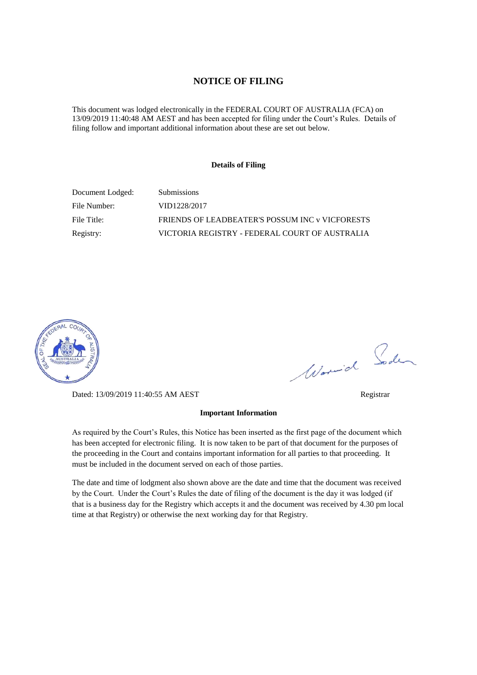#### **NOTICE OF FILING**

This document was lodged electronically in the FEDERAL COURT OF AUSTRALIA (FCA) on 13/09/2019 11:40:48 AM AEST and has been accepted for filing under the Court's Rules. Details of filing follow and important additional information about these are set out below.

#### **Details of Filing**

| Document Lodged: | <b>Submissions</b>                              |
|------------------|-------------------------------------------------|
| File Number:     | VID1228/2017                                    |
| File Title:      | FRIENDS OF LEADBEATER'S POSSUM INC v VICFORESTS |
| Registry:        | VICTORIA REGISTRY - FEDERAL COURT OF AUSTRALIA  |



Dated: 13/09/2019 11:40:55 AM AEST Registrar

#### **Important Information**

As required by the Court's Rules, this Notice has been inserted as the first page of the document which has been accepted for electronic filing. It is now taken to be part of that document for the purposes of the proceeding in the Court and contains important information for all parties to that proceeding. It must be included in the document served on each of those parties.

The date and time of lodgment also shown above are the date and time that the document was received by the Court. Under the Court's Rules the date of filing of the document is the day it was lodged (if that is a business day for the Registry which accepts it and the document was received by 4.30 pm local time at that Registry) or otherwise the next working day for that Registry.

Worwich Soden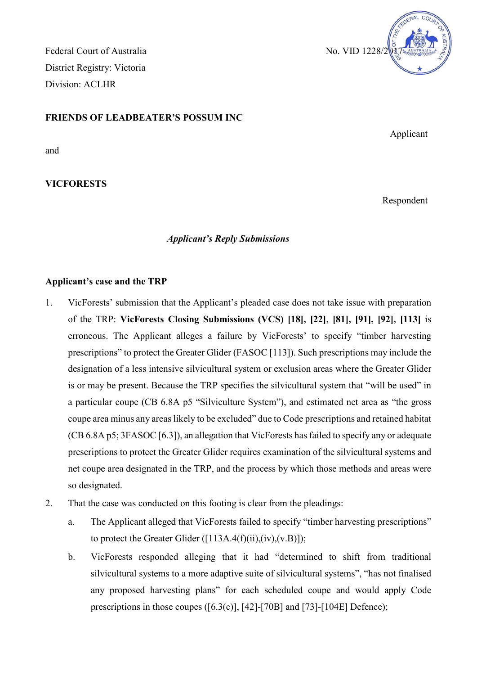Federal Court of Australia No. VID 1228/2 District Registry: Victoria Division: ACLHR



and

**VICFORESTS**

# *Applicant's Reply Submissions*

### **Applicant's case and the TRP**

- 1. VicForests' submission that the Applicant's pleaded case does not take issue with preparation of the TRP: **VicForests Closing Submissions (VCS) [18], [22]**, **[81], [91], [92], [113]** is erroneous. The Applicant alleges a failure by VicForests' to specify "timber harvesting prescriptions" to protect the Greater Glider (FASOC [113]). Such prescriptions may include the designation of a less intensive silvicultural system or exclusion areas where the Greater Glider is or may be present. Because the TRP specifies the silvicultural system that "will be used" in a particular coupe (CB 6.8A p5 "Silviculture System"), and estimated net area as "the gross coupe area minus any areas likely to be excluded" due to Code prescriptions and retained habitat (CB 6.8A p5; 3FASOC [6.3]), an allegation that VicForests has failed to specify any or adequate prescriptions to protect the Greater Glider requires examination of the silvicultural systems and net coupe area designated in the TRP, and the process by which those methods and areas were so designated.
- 2. That the case was conducted on this footing is clear from the pleadings:
	- a. The Applicant alleged that VicForests failed to specify "timber harvesting prescriptions" to protect the Greater Glider  $([113A.4(f)(ii), (iv), (v.B)]);$
	- b. VicForests responded alleging that it had "determined to shift from traditional silvicultural systems to a more adaptive suite of silvicultural systems", "has not finalised any proposed harvesting plans" for each scheduled coupe and would apply Code prescriptions in those coupes ([6.3(c)], [42]-[70B] and [73]-[104E] Defence);



Applicant

Respondent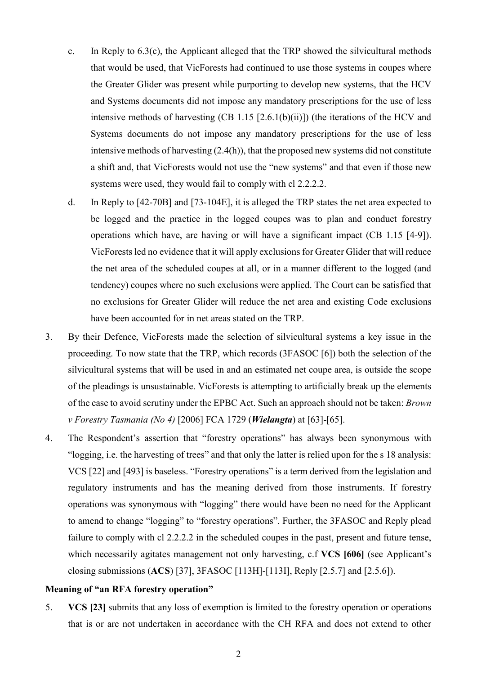- c. In Reply to 6.3(c), the Applicant alleged that the TRP showed the silvicultural methods that would be used, that VicForests had continued to use those systems in coupes where the Greater Glider was present while purporting to develop new systems, that the HCV and Systems documents did not impose any mandatory prescriptions for the use of less intensive methods of harvesting  $(CB 1.15 [2.6.1(b)(ii)])$  (the iterations of the HCV and Systems documents do not impose any mandatory prescriptions for the use of less intensive methods of harvesting (2.4(h)), that the proposed new systems did not constitute a shift and, that VicForests would not use the "new systems" and that even if those new systems were used, they would fail to comply with cl 2.2.2.2.
- <span id="page-2-0"></span>d. In Reply to [42-70B] and [73-104E], it is alleged the TRP states the net area expected to be logged and the practice in the logged coupes was to plan and conduct forestry operations which have, are having or will have a significant impact (CB 1.15 [4-9]). VicForests led no evidence that it will apply exclusions for Greater Glider that will reduce the net area of the scheduled coupes at all, or in a manner different to the logged (and tendency) coupes where no such exclusions were applied. The Court can be satisfied that no exclusions for Greater Glider will reduce the net area and existing Code exclusions have been accounted for in net areas stated on the TRP.
- 3. By their Defence, VicForests made the selection of silvicultural systems a key issue in the proceeding. To now state that the TRP, which records (3FASOC [6]) both the selection of the silvicultural systems that will be used in and an estimated net coupe area, is outside the scope of the pleadings is unsustainable. VicForests is attempting to artificially break up the elements of the case to avoid scrutiny under the EPBC Act. Such an approach should not be taken: *Brown v Forestry Tasmania (No 4)* [2006] FCA 1729 (*Wielangta*) at [63]-[65].
- 4. The Respondent's assertion that "forestry operations" has always been synonymous with "logging, i.e. the harvesting of trees" and that only the latter is relied upon for the s 18 analysis: VCS [22] and [493] is baseless. "Forestry operations" is a term derived from the legislation and regulatory instruments and has the meaning derived from those instruments. If forestry operations was synonymous with "logging" there would have been no need for the Applicant to amend to change "logging" to "forestry operations". Further, the 3FASOC and Reply plead failure to comply with cl 2.2.2.2 in the scheduled coupes in the past, present and future tense, which necessarily agitates management not only harvesting, c.f **VCS [606]** (see Applicant's closing submissions (**ACS**) [37], 3FASOC [113H]-[113I], Reply [2.5.7] and [2.5.6]).

### **Meaning of "an RFA forestry operation"**

5. **VCS [23]** submits that any loss of exemption is limited to the forestry operation or operations that is or are not undertaken in accordance with the CH RFA and does not extend to other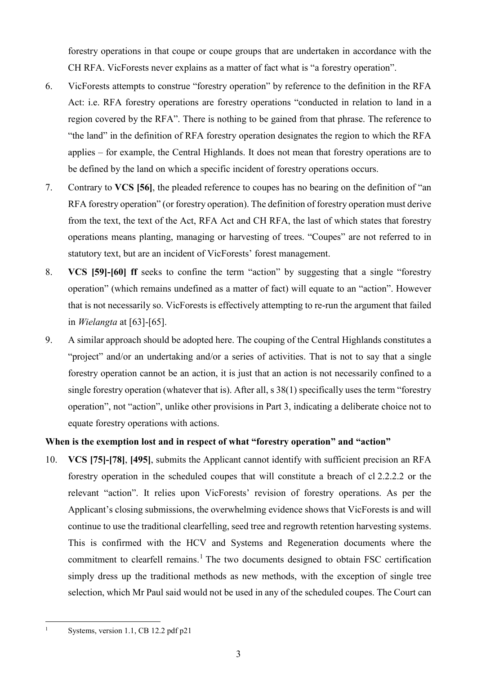forestry operations in that coupe or coupe groups that are undertaken in accordance with the CH RFA. VicForests never explains as a matter of fact what is "a forestry operation".

- 6. VicForests attempts to construe "forestry operation" by reference to the definition in the RFA Act: i.e. RFA forestry operations are forestry operations "conducted in relation to land in a region covered by the RFA". There is nothing to be gained from that phrase. The reference to "the land" in the definition of RFA forestry operation designates the region to which the RFA applies – for example, the Central Highlands. It does not mean that forestry operations are to be defined by the land on which a specific incident of forestry operations occurs.
- 7. Contrary to **VCS [56]**, the pleaded reference to coupes has no bearing on the definition of "an RFA forestry operation" (or forestry operation). The definition of forestry operation must derive from the text, the text of the Act, RFA Act and CH RFA, the last of which states that forestry operations means planting, managing or harvesting of trees. "Coupes" are not referred to in statutory text, but are an incident of VicForests' forest management.
- <span id="page-3-1"></span>8. **VCS [59]-[60] ff** seeks to confine the term "action" by suggesting that a single "forestry operation" (which remains undefined as a matter of fact) will equate to an "action". However that is not necessarily so. VicForests is effectively attempting to re-run the argument that failed in *Wielangta* at [63]-[65].
- <span id="page-3-2"></span>9. A similar approach should be adopted here. The couping of the Central Highlands constitutes a "project" and/or an undertaking and/or a series of activities. That is not to say that a single forestry operation cannot be an action, it is just that an action is not necessarily confined to a single forestry operation (whatever that is). After all, s 38(1) specifically uses the term "forestry operation", not "action", unlike other provisions in Part 3, indicating a deliberate choice not to equate forestry operations with actions.

## **When is the exemption lost and in respect of what "forestry operation" and "action"**

10. **VCS [75]-[78]**, **[495]**, submits the Applicant cannot identify with sufficient precision an RFA forestry operation in the scheduled coupes that will constitute a breach of cl 2.2.2.2 or the relevant "action". It relies upon VicForests' revision of forestry operations. As per the Applicant's closing submissions, the overwhelming evidence shows that VicForests is and will continue to use the traditional clearfelling, seed tree and regrowth retention harvesting systems. This is confirmed with the HCV and Systems and Regeneration documents where the commitment to clearfell remains.<sup>[1](#page-3-0)</sup> The two documents designed to obtain FSC certification simply dress up the traditional methods as new methods, with the exception of single tree selection, which Mr Paul said would not be used in any of the scheduled coupes. The Court can

<span id="page-3-0"></span><sup>1</sup> Systems, version 1.1, CB 12.2 pdf p21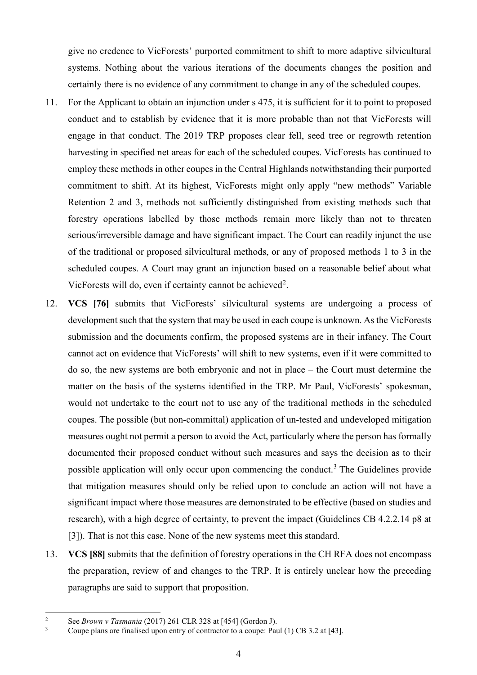give no credence to VicForests' purported commitment to shift to more adaptive silvicultural systems. Nothing about the various iterations of the documents changes the position and certainly there is no evidence of any commitment to change in any of the scheduled coupes.

- 11. For the Applicant to obtain an injunction under s 475, it is sufficient for it to point to proposed conduct and to establish by evidence that it is more probable than not that VicForests will engage in that conduct. The 2019 TRP proposes clear fell, seed tree or regrowth retention harvesting in specified net areas for each of the scheduled coupes. VicForests has continued to employ these methods in other coupes in the Central Highlands notwithstanding their purported commitment to shift. At its highest, VicForests might only apply "new methods" Variable Retention 2 and 3, methods not sufficiently distinguished from existing methods such that forestry operations labelled by those methods remain more likely than not to threaten serious/irreversible damage and have significant impact. The Court can readily injunct the use of the traditional or proposed silvicultural methods, or any of proposed methods 1 to 3 in the scheduled coupes. A Court may grant an injunction based on a reasonable belief about what VicForests will do, even if certainty cannot be achieved<sup>[2](#page-4-0)</sup>.
- 12. **VCS [76]** submits that VicForests' silvicultural systems are undergoing a process of development such that the system that may be used in each coupe is unknown. As the VicForests submission and the documents confirm, the proposed systems are in their infancy. The Court cannot act on evidence that VicForests' will shift to new systems, even if it were committed to do so, the new systems are both embryonic and not in place – the Court must determine the matter on the basis of the systems identified in the TRP. Mr Paul, VicForests' spokesman, would not undertake to the court not to use any of the traditional methods in the scheduled coupes. The possible (but non-committal) application of un-tested and undeveloped mitigation measures ought not permit a person to avoid the Act, particularly where the person has formally documented their proposed conduct without such measures and says the decision as to their possible application will only occur upon commencing the conduct.<sup>[3](#page-4-1)</sup> The Guidelines provide that mitigation measures should only be relied upon to conclude an action will not have a significant impact where those measures are demonstrated to be effective (based on studies and research), with a high degree of certainty, to prevent the impact (Guidelines CB 4.2.2.14 p8 at [3]). That is not this case. None of the new systems meet this standard.
- 13. **VCS [88]** submits that the definition of forestry operations in the CH RFA does not encompass the preparation, review of and changes to the TRP. It is entirely unclear how the preceding paragraphs are said to support that proposition.

<span id="page-4-1"></span><span id="page-4-0"></span><sup>2</sup> See *Brown v Tasmania* (2017) 261 CLR 328 at [454] (Gordon J).

<sup>3</sup> Coupe plans are finalised upon entry of contractor to a coupe: Paul (1) CB 3.2 at [43].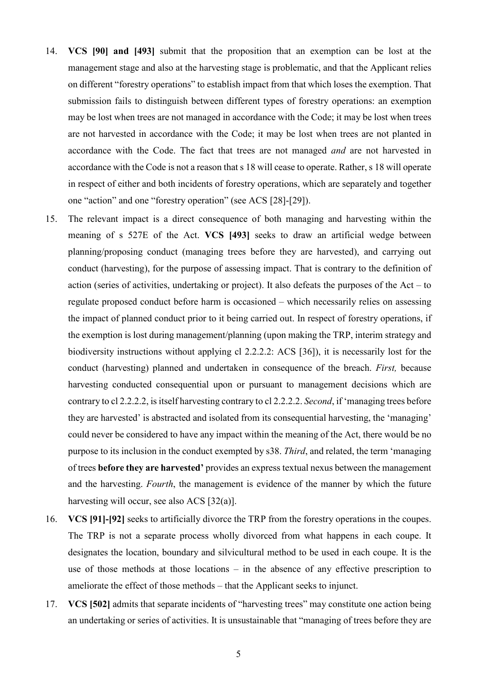- 14. **VCS [90] and [493]** submit that the proposition that an exemption can be lost at the management stage and also at the harvesting stage is problematic, and that the Applicant relies on different "forestry operations" to establish impact from that which loses the exemption. That submission fails to distinguish between different types of forestry operations: an exemption may be lost when trees are not managed in accordance with the Code; it may be lost when trees are not harvested in accordance with the Code; it may be lost when trees are not planted in accordance with the Code. The fact that trees are not managed *and* are not harvested in accordance with the Code is not a reason that s 18 will cease to operate. Rather, s 18 will operate in respect of either and both incidents of forestry operations, which are separately and together one "action" and one "forestry operation" (see ACS [28]-[29]).
- 15. The relevant impact is a direct consequence of both managing and harvesting within the meaning of s 527E of the Act. **VCS [493]** seeks to draw an artificial wedge between planning/proposing conduct (managing trees before they are harvested), and carrying out conduct (harvesting), for the purpose of assessing impact. That is contrary to the definition of action (series of activities, undertaking or project). It also defeats the purposes of the Act – to regulate proposed conduct before harm is occasioned – which necessarily relies on assessing the impact of planned conduct prior to it being carried out. In respect of forestry operations, if the exemption is lost during management/planning (upon making the TRP, interim strategy and biodiversity instructions without applying cl 2.2.2.2: ACS [36]), it is necessarily lost for the conduct (harvesting) planned and undertaken in consequence of the breach. *First,* because harvesting conducted consequential upon or pursuant to management decisions which are contrary to cl 2.2.2.2, is itself harvesting contrary to cl 2.2.2.2. *Second*, if 'managing trees before they are harvested' is abstracted and isolated from its consequential harvesting, the 'managing' could never be considered to have any impact within the meaning of the Act, there would be no purpose to its inclusion in the conduct exempted by s38. *Third*, and related, the term 'managing of trees **before they are harvested'** provides an express textual nexus between the management and the harvesting. *Fourth*, the management is evidence of the manner by which the future harvesting will occur, see also ACS [32(a)].
- 16. **VCS [91]-[92]** seeks to artificially divorce the TRP from the forestry operations in the coupes. The TRP is not a separate process wholly divorced from what happens in each coupe. It designates the location, boundary and silvicultural method to be used in each coupe. It is the use of those methods at those locations – in the absence of any effective prescription to ameliorate the effect of those methods – that the Applicant seeks to injunct.
- 17. **VCS [502]** admits that separate incidents of "harvesting trees" may constitute one action being an undertaking or series of activities. It is unsustainable that "managing of trees before they are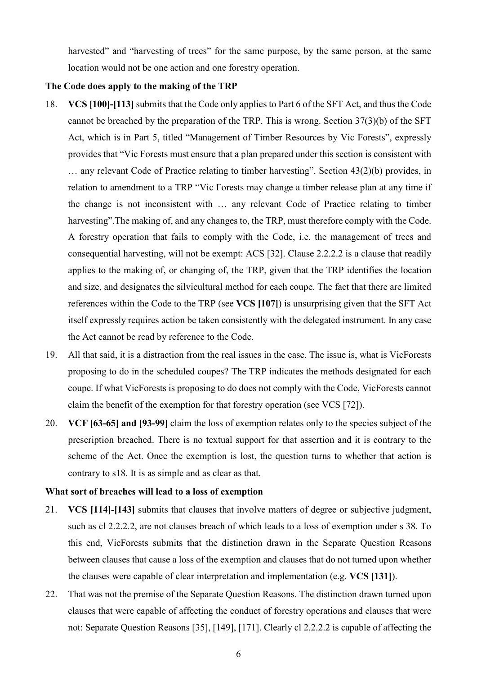harvested" and "harvesting of trees" for the same purpose, by the same person, at the same location would not be one action and one forestry operation.

## **The Code does apply to the making of the TRP**

- 18. **VCS [100]-[113]** submits that the Code only applies to Part 6 of the SFT Act, and thus the Code cannot be breached by the preparation of the TRP. This is wrong. Section 37(3)(b) of the SFT Act, which is in Part 5, titled "Management of Timber Resources by Vic Forests", expressly provides that "Vic Forests must ensure that a plan prepared under this section is consistent with … any relevant Code of Practice relating to timber harvesting". Section 43(2)(b) provides, in relation to amendment to a TRP "Vic Forests may change a timber release plan at any time if the change is not inconsistent with … any relevant Code of Practice relating to timber harvesting". The making of, and any changes to, the TRP, must therefore comply with the Code. A forestry operation that fails to comply with the Code, i.e. the management of trees and consequential harvesting, will not be exempt: ACS [32]. Clause 2.2.2.2 is a clause that readily applies to the making of, or changing of, the TRP, given that the TRP identifies the location and size, and designates the silvicultural method for each coupe. The fact that there are limited references within the Code to the TRP (see **VCS [107]**) is unsurprising given that the SFT Act itself expressly requires action be taken consistently with the delegated instrument. In any case the Act cannot be read by reference to the Code.
- 19. All that said, it is a distraction from the real issues in the case. The issue is, what is VicForests proposing to do in the scheduled coupes? The TRP indicates the methods designated for each coupe. If what VicForests is proposing to do does not comply with the Code, VicForests cannot claim the benefit of the exemption for that forestry operation (see VCS [72]).
- 20. **VCF [63-65] and [93-99]** claim the loss of exemption relates only to the species subject of the prescription breached. There is no textual support for that assertion and it is contrary to the scheme of the Act. Once the exemption is lost, the question turns to whether that action is contrary to s18. It is as simple and as clear as that.

### **What sort of breaches will lead to a loss of exemption**

- 21. **VCS [114]-[143]** submits that clauses that involve matters of degree or subjective judgment, such as cl 2.2.2.2, are not clauses breach of which leads to a loss of exemption under s 38. To this end, VicForests submits that the distinction drawn in the Separate Question Reasons between clauses that cause a loss of the exemption and clauses that do not turned upon whether the clauses were capable of clear interpretation and implementation (e.g. **VCS [131]**).
- 22. That was not the premise of the Separate Question Reasons. The distinction drawn turned upon clauses that were capable of affecting the conduct of forestry operations and clauses that were not: Separate Question Reasons [35], [149], [171]. Clearly cl 2.2.2.2 is capable of affecting the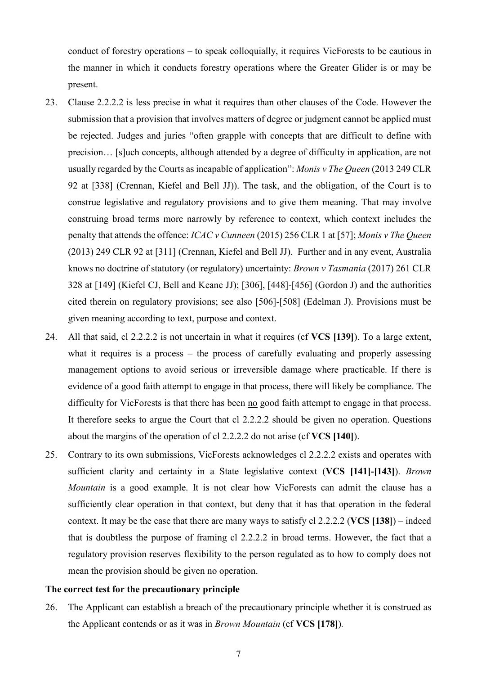conduct of forestry operations – to speak colloquially, it requires VicForests to be cautious in the manner in which it conducts forestry operations where the Greater Glider is or may be present.

- 23. Clause 2.2.2.2 is less precise in what it requires than other clauses of the Code. However the submission that a provision that involves matters of degree or judgment cannot be applied must be rejected. Judges and juries "often grapple with concepts that are difficult to define with precision… [s]uch concepts, although attended by a degree of difficulty in application, are not usually regarded by the Courts as incapable of application": *Monis v The Queen* (2013 249 CLR 92 at [338] (Crennan, Kiefel and Bell JJ)). The task, and the obligation, of the Court is to construe legislative and regulatory provisions and to give them meaning. That may involve construing broad terms more narrowly by reference to context, which context includes the penalty that attends the offence: *ICAC v Cunneen* (2015) 256 CLR 1 at [57]; *Monis v The Queen*  (2013) 249 CLR 92 at [311] (Crennan, Kiefel and Bell JJ). Further and in any event, Australia knows no doctrine of statutory (or regulatory) uncertainty: *Brown v Tasmania* (2017) 261 CLR 328 at [149] (Kiefel CJ, Bell and Keane JJ); [306], [448]-[456] (Gordon J) and the authorities cited therein on regulatory provisions; see also [506]-[508] (Edelman J). Provisions must be given meaning according to text, purpose and context.
- 24. All that said, cl 2.2.2.2 is not uncertain in what it requires (cf **VCS [139]**). To a large extent, what it requires is a process – the process of carefully evaluating and properly assessing management options to avoid serious or irreversible damage where practicable. If there is evidence of a good faith attempt to engage in that process, there will likely be compliance. The difficulty for VicForests is that there has been no good faith attempt to engage in that process. It therefore seeks to argue the Court that cl 2.2.2.2 should be given no operation. Questions about the margins of the operation of cl 2.2.2.2 do not arise (cf **VCS [140]**).
- 25. Contrary to its own submissions, VicForests acknowledges cl 2.2.2.2 exists and operates with sufficient clarity and certainty in a State legislative context (**VCS [141]-[143]**). *Brown Mountain* is a good example. It is not clear how VicForests can admit the clause has a sufficiently clear operation in that context, but deny that it has that operation in the federal context. It may be the case that there are many ways to satisfy cl 2.2.2.2 (**VCS [138]**) – indeed that is doubtless the purpose of framing cl 2.2.2.2 in broad terms. However, the fact that a regulatory provision reserves flexibility to the person regulated as to how to comply does not mean the provision should be given no operation.

#### **The correct test for the precautionary principle**

26. The Applicant can establish a breach of the precautionary principle whether it is construed as the Applicant contends or as it was in *Brown Mountain* (cf **VCS [178]**)*.*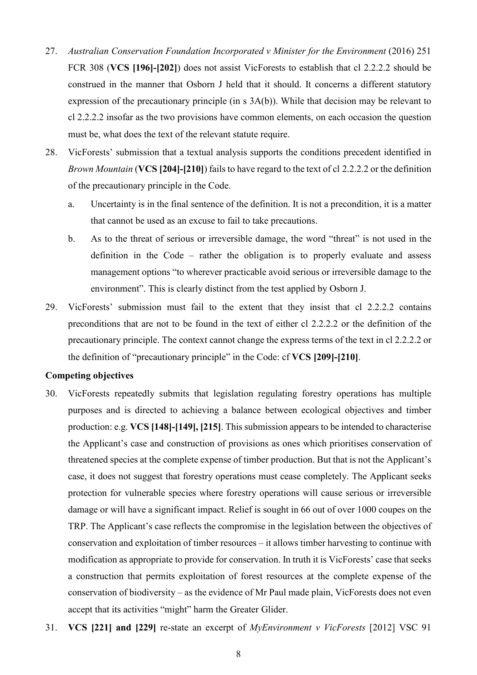- 27. *Australian Conservation Foundation Incorporated v Minister for the Environment* (2016) 251 FCR 308 (**VCS [196]-[202]**) does not assist VicForests to establish that cl 2.2.2.2 should be construed in the manner that Osborn J held that it should. It concerns a different statutory expression of the precautionary principle (in s 3A(b)). While that decision may be relevant to cl 2.2.2.2 insofar as the two provisions have common elements, on each occasion the question must be, what does the text of the relevant statute require.
- 28. VicForests' submission that a textual analysis supports the conditions precedent identified in *Brown Mountain* (**VCS [204]-[210]**) fails to have regard to the text of cl 2.2.2.2 or the definition of the precautionary principle in the Code.
	- a. Uncertainty is in the final sentence of the definition. It is not a precondition, it is a matter that cannot be used as an excuse to fail to take precautions.
	- b. As to the threat of serious or irreversible damage, the word "threat" is not used in the definition in the Code – rather the obligation is to properly evaluate and assess management options "to wherever practicable avoid serious or irreversible damage to the environment". This is clearly distinct from the test applied by Osborn J.
- 29. VicForests' submission must fail to the extent that they insist that cl 2.2.2.2 contains preconditions that are not to be found in the text of either cl 2.2.2.2 or the definition of the precautionary principle. The context cannot change the express terms of the text in cl 2.2.2.2 or the definition of "precautionary principle" in the Code: cf **VCS [209]-[210]**.

### **Competing objectives**

- 30. VicForests repeatedly submits that legislation regulating forestry operations has multiple purposes and is directed to achieving a balance between ecological objectives and timber production: e.g. **VCS [148]-[149], [215]**. This submission appears to be intended to characterise the Applicant's case and construction of provisions as ones which prioritises conservation of threatened species at the complete expense of timber production. But that is not the Applicant's case, it does not suggest that forestry operations must cease completely. The Applicant seeks protection for vulnerable species where forestry operations will cause serious or irreversible damage or will have a significant impact. Relief is sought in 66 out of over 1000 coupes on the TRP. The Applicant's case reflects the compromise in the legislation between the objectives of conservation and exploitation of timber resources – it allows timber harvesting to continue with modification as appropriate to provide for conservation. In truth it is VicForests' case that seeks a construction that permits exploitation of forest resources at the complete expense of the conservation of biodiversity – as the evidence of Mr Paul made plain, VicForests does not even accept that its activities "might" harm the Greater Glider.
- 31. **VCS [221] and [229]** re-state an excerpt of *MyEnvironment v VicForests* [2012] VSC 91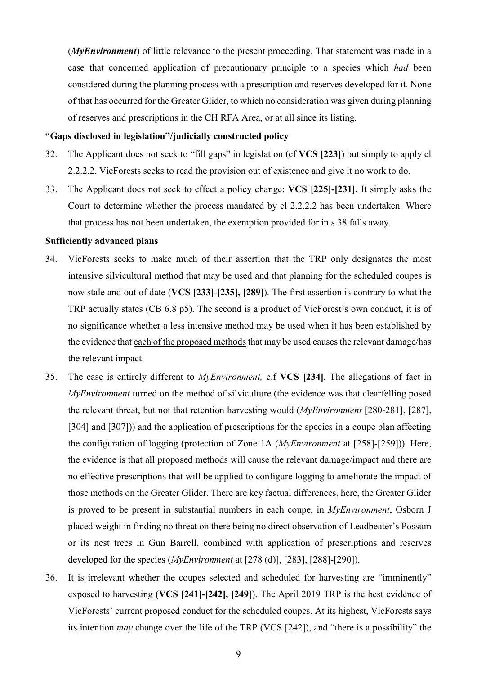(*MyEnvironment*) of little relevance to the present proceeding. That statement was made in a case that concerned application of precautionary principle to a species which *had* been considered during the planning process with a prescription and reserves developed for it. None of that has occurred for the Greater Glider, to which no consideration was given during planning of reserves and prescriptions in the CH RFA Area, or at all since its listing.

## **"Gaps disclosed in legislation"/judicially constructed policy**

- 32. The Applicant does not seek to "fill gaps" in legislation (cf **VCS [223]**) but simply to apply cl 2.2.2.2. VicForests seeks to read the provision out of existence and give it no work to do.
- 33. The Applicant does not seek to effect a policy change: **VCS [225]-[231].** It simply asks the Court to determine whether the process mandated by cl 2.2.2.2 has been undertaken. Where that process has not been undertaken, the exemption provided for in s 38 falls away.

### **Sufficiently advanced plans**

- 34. VicForests seeks to make much of their assertion that the TRP only designates the most intensive silvicultural method that may be used and that planning for the scheduled coupes is now stale and out of date (**VCS [233]-[235], [289]**). The first assertion is contrary to what the TRP actually states (CB 6.8 p5). The second is a product of VicForest's own conduct, it is of no significance whether a less intensive method may be used when it has been established by the evidence that each of the proposed methods that may be used causes the relevant damage/has the relevant impact.
- 35. The case is entirely different to *MyEnvironment,* c.f **VCS [234]***.* The allegations of fact in *MyEnvironment* turned on the method of silviculture (the evidence was that clearfelling posed the relevant threat, but not that retention harvesting would (*MyEnvironment* [280-281], [287], [304] and [307])) and the application of prescriptions for the species in a coupe plan affecting the configuration of logging (protection of Zone 1A (*MyEnvironment* at [258]-[259])). Here, the evidence is that all proposed methods will cause the relevant damage/impact and there are no effective prescriptions that will be applied to configure logging to ameliorate the impact of those methods on the Greater Glider. There are key factual differences, here, the Greater Glider is proved to be present in substantial numbers in each coupe, in *MyEnvironment*, Osborn J placed weight in finding no threat on there being no direct observation of Leadbeater's Possum or its nest trees in Gun Barrell, combined with application of prescriptions and reserves developed for the species (*MyEnvironment* at [278 (d)], [283], [288]-[290]).
- 36. It is irrelevant whether the coupes selected and scheduled for harvesting are "imminently" exposed to harvesting (**VCS [241]-[242], [249]**). The April 2019 TRP is the best evidence of VicForests' current proposed conduct for the scheduled coupes. At its highest, VicForests says its intention *may* change over the life of the TRP (VCS [242]), and "there is a possibility" the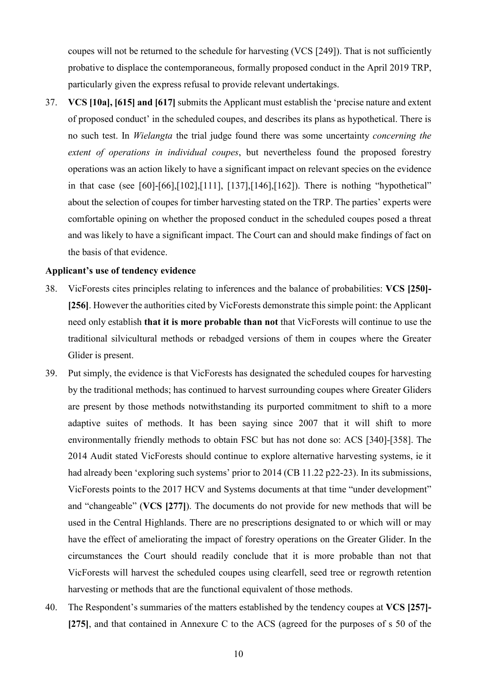coupes will not be returned to the schedule for harvesting (VCS [249]). That is not sufficiently probative to displace the contemporaneous, formally proposed conduct in the April 2019 TRP, particularly given the express refusal to provide relevant undertakings.

<span id="page-10-0"></span>37. **VCS [10a], [615] and [617]** submits the Applicant must establish the 'precise nature and extent of proposed conduct' in the scheduled coupes, and describes its plans as hypothetical. There is no such test. In *Wielangta* the trial judge found there was some uncertainty *concerning the extent of operations in individual coupes*, but nevertheless found the proposed forestry operations was an action likely to have a significant impact on relevant species on the evidence in that case (see [60]-[66],[102],[111], [137],[146],[162]). There is nothing "hypothetical" about the selection of coupes for timber harvesting stated on the TRP. The parties' experts were comfortable opining on whether the proposed conduct in the scheduled coupes posed a threat and was likely to have a significant impact. The Court can and should make findings of fact on the basis of that evidence.

#### **Applicant's use of tendency evidence**

- 38. VicForests cites principles relating to inferences and the balance of probabilities: **VCS [250]- [256]**. However the authorities cited by VicForests demonstrate this simple point: the Applicant need only establish **that it is more probable than not** that VicForests will continue to use the traditional silvicultural methods or rebadged versions of them in coupes where the Greater Glider is present.
- 39. Put simply, the evidence is that VicForests has designated the scheduled coupes for harvesting by the traditional methods; has continued to harvest surrounding coupes where Greater Gliders are present by those methods notwithstanding its purported commitment to shift to a more adaptive suites of methods. It has been saying since 2007 that it will shift to more environmentally friendly methods to obtain FSC but has not done so: ACS [340]-[358]. The 2014 Audit stated VicForests should continue to explore alternative harvesting systems, ie it had already been 'exploring such systems' prior to 2014 (CB 11.22 p22-23). In its submissions, VicForests points to the 2017 HCV and Systems documents at that time "under development" and "changeable" (**VCS [277]**). The documents do not provide for new methods that will be used in the Central Highlands. There are no prescriptions designated to or which will or may have the effect of ameliorating the impact of forestry operations on the Greater Glider. In the circumstances the Court should readily conclude that it is more probable than not that VicForests will harvest the scheduled coupes using clearfell, seed tree or regrowth retention harvesting or methods that are the functional equivalent of those methods.
- 40. The Respondent's summaries of the matters established by the tendency coupes at **VCS [257]- [275]**, and that contained in Annexure C to the ACS (agreed for the purposes of s 50 of the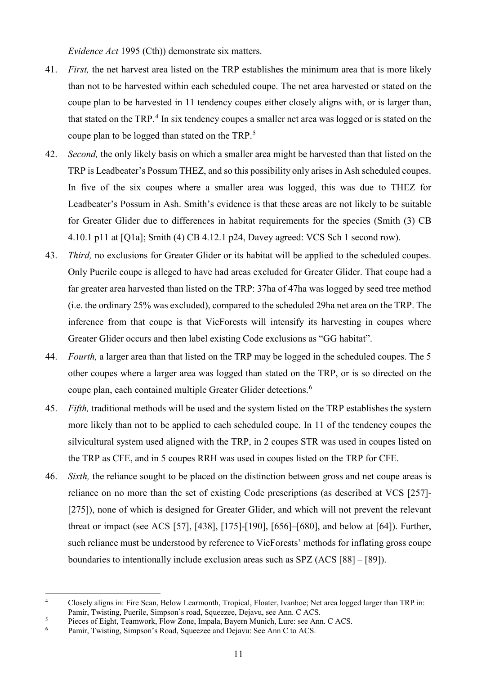*Evidence Act* 1995 (Cth)) demonstrate six matters.

- <span id="page-11-4"></span>41. *First,* the net harvest area listed on the TRP establishes the minimum area that is more likely than not to be harvested within each scheduled coupe. The net area harvested or stated on the coupe plan to be harvested in 11 tendency coupes either closely aligns with, or is larger than, that stated on the TRP.<sup>[4](#page-11-0)</sup> In six tendency coupes a smaller net area was logged or is stated on the coupe plan to be logged than stated on the TRP. [5](#page-11-1)
- <span id="page-11-6"></span>42. *Second,* the only likely basis on which a smaller area might be harvested than that listed on the TRP is Leadbeater's Possum THEZ, and so this possibility only arises in Ash scheduled coupes. In five of the six coupes where a smaller area was logged, this was due to THEZ for Leadbeater's Possum in Ash. Smith's evidence is that these areas are not likely to be suitable for Greater Glider due to differences in habitat requirements for the species (Smith (3) CB 4.10.1 p11 at [Q1a]; Smith (4) CB 4.12.1 p24, Davey agreed: VCS Sch 1 second row).
- <span id="page-11-3"></span>43. *Third,* no exclusions for Greater Glider or its habitat will be applied to the scheduled coupes. Only Puerile coupe is alleged to have had areas excluded for Greater Glider. That coupe had a far greater area harvested than listed on the TRP: 37ha of 47ha was logged by seed tree method (i.e. the ordinary 25% was excluded), compared to the scheduled 29ha net area on the TRP. The inference from that coupe is that VicForests will intensify its harvesting in coupes where Greater Glider occurs and then label existing Code exclusions as "GG habitat".
- 44. *Fourth,* a larger area than that listed on the TRP may be logged in the scheduled coupes. The 5 other coupes where a larger area was logged than stated on the TRP, or is so directed on the coupe plan, each contained multiple Greater Glider detections. [6](#page-11-2)
- 45. *Fifth,* traditional methods will be used and the system listed on the TRP establishes the system more likely than not to be applied to each scheduled coupe. In 11 of the tendency coupes the silvicultural system used aligned with the TRP, in 2 coupes STR was used in coupes listed on the TRP as CFE, and in 5 coupes RRH was used in coupes listed on the TRP for CFE.
- <span id="page-11-5"></span>46. *Sixth,* the reliance sought to be placed on the distinction between gross and net coupe areas is reliance on no more than the set of existing Code prescriptions (as described at VCS [257]- [275]), none of which is designed for Greater Glider, and which will not prevent the relevant threat or impact (see ACS [57], [438], [175]-[190], [656]–[680], and below at [\[64\]](#page-16-0)). Further, such reliance must be understood by reference to VicForests' methods for inflating gross coupe boundaries to intentionally include exclusion areas such as SPZ (ACS [88] – [89]).

<span id="page-11-0"></span><sup>4</sup> Closely aligns in: Fire Scan, Below Learmonth, Tropical, Floater, Ivanhoe; Net area logged larger than TRP in: Pamir, Twisting, Puerile, Simpson's road, Squeezee, Dejavu, see Ann. C ACS.

<span id="page-11-1"></span><sup>&</sup>lt;sup>5</sup> Pieces of Eight, Teamwork, Flow Zone, Impala, Bayern Munich, Lure: see Ann. C ACS.<br><sup>6</sup> Pamir Twisting Simpson's Road, Squeezee and Deiavu: See Ann. C to ACS.

<span id="page-11-2"></span>Pamir, Twisting, Simpson's Road, Squeezee and Dejavu: See Ann C to ACS.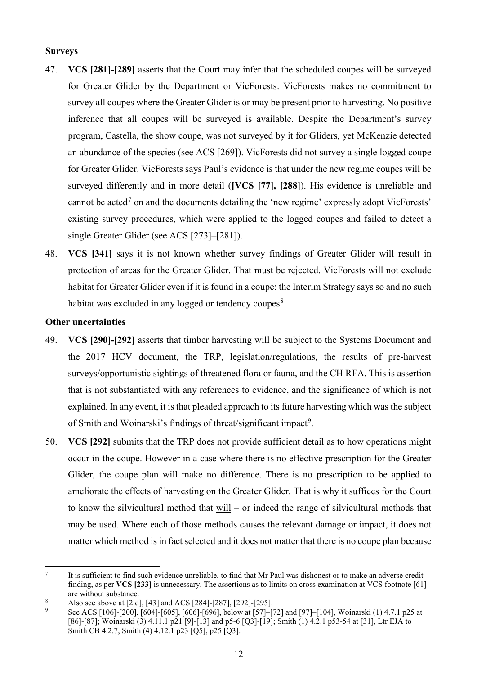#### **Surveys**

- 47. **VCS [281]-[289]** asserts that the Court may infer that the scheduled coupes will be surveyed for Greater Glider by the Department or VicForests. VicForests makes no commitment to survey all coupes where the Greater Glider is or may be present prior to harvesting. No positive inference that all coupes will be surveyed is available. Despite the Department's survey program, Castella, the show coupe, was not surveyed by it for Gliders, yet McKenzie detected an abundance of the species (see ACS [269]). VicForests did not survey a single logged coupe for Greater Glider. VicForests says Paul's evidence is that under the new regime coupes will be surveyed differently and in more detail (**[VCS [77], [288]**). His evidence is unreliable and cannot be acted<sup>[7](#page-12-0)</sup> on and the documents detailing the 'new regime' expressly adopt VicForests' existing survey procedures, which were applied to the logged coupes and failed to detect a single Greater Glider (see ACS [273]–[281]).
- 48. **VCS [341]** says it is not known whether survey findings of Greater Glider will result in protection of areas for the Greater Glider. That must be rejected. VicForests will not exclude habitat for Greater Glider even if it is found in a coupe: the Interim Strategy says so and no such habitat was excluded in any logged or tendency coupes $^8$  $^8$ .

## **Other uncertainties**

- 49. **VCS [290]-[292]** asserts that timber harvesting will be subject to the Systems Document and the 2017 HCV document, the TRP, legislation/regulations, the results of pre-harvest surveys/opportunistic sightings of threatened flora or fauna, and the CH RFA. This is assertion that is not substantiated with any references to evidence, and the significance of which is not explained. In any event, it is that pleaded approach to its future harvesting which was the subject of Smith and Woinarski's findings of threat/significant impact<sup>[9](#page-12-2)</sup>.
- 50. **VCS [292]** submits that the TRP does not provide sufficient detail as to how operations might occur in the coupe. However in a case where there is no effective prescription for the Greater Glider, the coupe plan will make no difference. There is no prescription to be applied to ameliorate the effects of harvesting on the Greater Glider. That is why it suffices for the Court to know the silvicultural method that will – or indeed the range of silvicultural methods that may be used. Where each of those methods causes the relevant damage or impact, it does not matter which method is in fact selected and it does not matter that there is no coupe plan because

<span id="page-12-0"></span><sup>7</sup> It is sufficient to find such evidence unreliable, to find that Mr Paul was dishonest or to make an adverse credit finding, as per **VCS [233]** is unnecessary. The assertions as to limits on cross examination at VCS footnote [61] are without substance.

<span id="page-12-1"></span><sup>8</sup> Also see above at [\[2.d\]](#page-2-0), [\[43\]](#page-11-3) and ACS [284]-[287], [292]-[295].

<span id="page-12-2"></span><sup>9</sup> See ACS [106]-[200], [604]-[605], [606]-[696], below at [\[57\]](#page-14-0)-[\[72\]](#page-19-0) and [\[97\]](#page-22-0)-[\[104\]](#page-24-0), Woinarski (1) 4.7.1 p25 at [86]-[87]; Woinarski (3) 4.11.1 p21 [9]-[13] and p5-6 [Q3]-[19]; Smith (1) 4.2.1 p53-54 at [31], Ltr EJA to Smith CB 4.2.7, Smith (4) 4.12.1 p23 [Q5], p25 [Q3].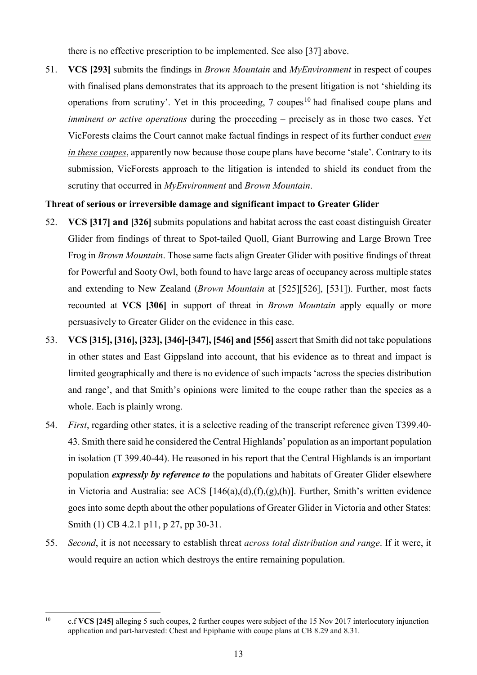there is no effective prescription to be implemented. See also [\[37\]](#page-10-0) above.

51. **VCS [293]** submits the findings in *Brown Mountain* and *MyEnvironment* in respect of coupes with finalised plans demonstrates that its approach to the present litigation is not 'shielding its operations from scrutiny'. Yet in this proceeding,  $7$  coupes<sup>[10](#page-13-0)</sup> had finalised coupe plans and *imminent or active operations* during the proceeding – precisely as in those two cases. Yet VicForests claims the Court cannot make factual findings in respect of its further conduct *even in these coupes*, apparently now because those coupe plans have become 'stale'. Contrary to its submission, VicForests approach to the litigation is intended to shield its conduct from the scrutiny that occurred in *MyEnvironment* and *Brown Mountain*.

## **Threat of serious or irreversible damage and significant impact to Greater Glider**

- 52. **VCS [317] and [326]** submits populations and habitat across the east coast distinguish Greater Glider from findings of threat to Spot-tailed Quoll, Giant Burrowing and Large Brown Tree Frog in *Brown Mountain*. Those same facts align Greater Glider with positive findings of threat for Powerful and Sooty Owl, both found to have large areas of occupancy across multiple states and extending to New Zealand (*Brown Mountain* at [525][526], [531]). Further, most facts recounted at **VCS [306]** in support of threat in *Brown Mountain* apply equally or more persuasively to Greater Glider on the evidence in this case.
- 53. **VCS [315], [316], [323], [346]-[347], [546] and [556]** assert that Smith did not take populations in other states and East Gippsland into account, that his evidence as to threat and impact is limited geographically and there is no evidence of such impacts 'across the species distribution and range', and that Smith's opinions were limited to the coupe rather than the species as a whole. Each is plainly wrong.
- 54. *First*, regarding other states, it is a selective reading of the transcript reference given T399.40- 43. Smith there said he considered the Central Highlands' population as an important population in isolation (T 399.40-44). He reasoned in his report that the Central Highlands is an important population *expressly by reference to* the populations and habitats of Greater Glider elsewhere in Victoria and Australia: see ACS [146(a),(d),(f),(g),(h)]. Further, Smith's written evidence goes into some depth about the other populations of Greater Glider in Victoria and other States: Smith (1) CB 4.2.1 p11, p 27, pp 30-31.
- 55. *Second*, it is not necessary to establish threat *across total distribution and range*. If it were, it would require an action which destroys the entire remaining population.

<span id="page-13-0"></span><sup>10</sup> c.f **VCS [245]** alleging 5 such coupes, 2 further coupes were subject of the 15 Nov 2017 interlocutory injunction application and part-harvested: Chest and Epiphanie with coupe plans at CB 8.29 and 8.31.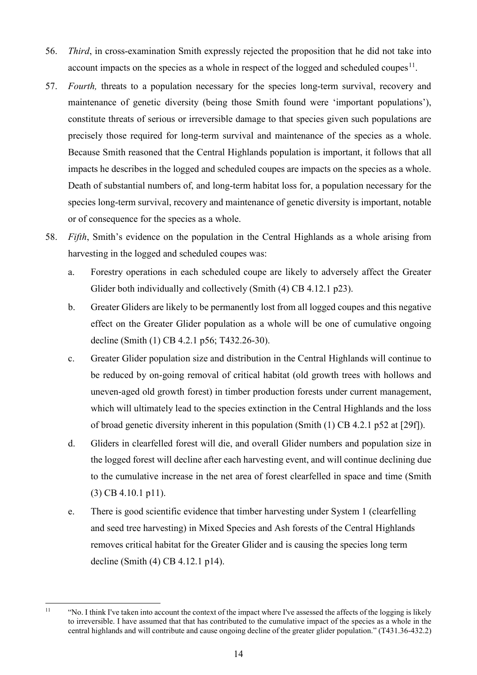- 56. *Third*, in cross-examination Smith expressly rejected the proposition that he did not take into account impacts on the species as a whole in respect of the logged and scheduled coupes<sup>11</sup>.
- <span id="page-14-0"></span>57. *Fourth,* threats to a population necessary for the species long-term survival, recovery and maintenance of genetic diversity (being those Smith found were 'important populations'), constitute threats of serious or irreversible damage to that species given such populations are precisely those required for long-term survival and maintenance of the species as a whole. Because Smith reasoned that the Central Highlands population is important, it follows that all impacts he describes in the logged and scheduled coupes are impacts on the species as a whole. Death of substantial numbers of, and long-term habitat loss for, a population necessary for the species long-term survival, recovery and maintenance of genetic diversity is important, notable or of consequence for the species as a whole.
- <span id="page-14-2"></span>58. *Fifth*, Smith's evidence on the population in the Central Highlands as a whole arising from harvesting in the logged and scheduled coupes was:
	- a. Forestry operations in each scheduled coupe are likely to adversely affect the Greater Glider both individually and collectively (Smith (4) CB 4.12.1 p23).
	- b. Greater Gliders are likely to be permanently lost from all logged coupes and this negative effect on the Greater Glider population as a whole will be one of cumulative ongoing decline (Smith (1) CB 4.2.1 p56; T432.26-30).
	- c. Greater Glider population size and distribution in the Central Highlands will continue to be reduced by on-going removal of critical habitat (old growth trees with hollows and uneven-aged old growth forest) in timber production forests under current management, which will ultimately lead to the species extinction in the Central Highlands and the loss of broad genetic diversity inherent in this population (Smith (1) CB 4.2.1 p52 at [29f]).
	- d. Gliders in clearfelled forest will die, and overall Glider numbers and population size in the logged forest will decline after each harvesting event, and will continue declining due to the cumulative increase in the net area of forest clearfelled in space and time (Smith (3) CB 4.10.1 p11).
	- e. There is good scientific evidence that timber harvesting under System 1 (clearfelling and seed tree harvesting) in Mixed Species and Ash forests of the Central Highlands removes critical habitat for the Greater Glider and is causing the species long term decline (Smith (4) CB 4.12.1 p14).

<span id="page-14-1"></span> $11$  "No. I think I've taken into account the context of the impact where I've assessed the affects of the logging is likely to irreversible. I have assumed that that has contributed to the cumulative impact of the species as a whole in the central highlands and will contribute and cause ongoing decline of the greater glider population." (T431.36-432.2)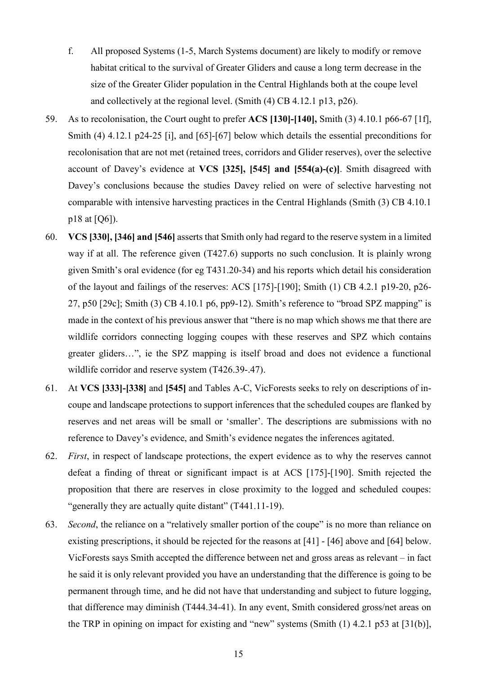- f. All proposed Systems (1-5, March Systems document) are likely to modify or remove habitat critical to the survival of Greater Gliders and cause a long term decrease in the size of the Greater Glider population in the Central Highlands both at the coupe level and collectively at the regional level. (Smith (4) CB 4.12.1 p13, p26).
- 59. As to recolonisation, the Court ought to prefer **ACS [130]-[140],** Smith (3) 4.10.1 p66-67 [1f], Smith (4) 4.12.1 p24-25 [i], and [\[65\]](#page-16-1)-[\[67\]](#page-17-0) below which details the essential preconditions for recolonisation that are not met (retained trees, corridors and Glider reserves), over the selective account of Davey's evidence at **VCS [325], [545] and [554(a)-(c)]**. Smith disagreed with Davey's conclusions because the studies Davey relied on were of selective harvesting not comparable with intensive harvesting practices in the Central Highlands (Smith (3) CB 4.10.1 p18 at [Q6]).
- 60. **VCS [330], [346] and [546]** asserts that Smith only had regard to the reserve system in a limited way if at all. The reference given (T427.6) supports no such conclusion. It is plainly wrong given Smith's oral evidence (for eg T431.20-34) and his reports which detail his consideration of the layout and failings of the reserves: ACS [175]-[190]; Smith (1) CB 4.2.1 p19-20, p26- 27, p50 [29c]; Smith (3) CB 4.10.1 p6, pp9-12). Smith's reference to "broad SPZ mapping" is made in the context of his previous answer that "there is no map which shows me that there are wildlife corridors connecting logging coupes with these reserves and SPZ which contains greater gliders…", ie the SPZ mapping is itself broad and does not evidence a functional wildlife corridor and reserve system (T426.39-.47).
- 61. At **VCS [333]-[338]** and **[545]** and Tables A-C, VicForests seeks to rely on descriptions of incoupe and landscape protections to support inferences that the scheduled coupes are flanked by reserves and net areas will be small or 'smaller'. The descriptions are submissions with no reference to Davey's evidence, and Smith's evidence negates the inferences agitated.
- 62. *First*, in respect of landscape protections, the expert evidence as to why the reserves cannot defeat a finding of threat or significant impact is at ACS [175]-[190]. Smith rejected the proposition that there are reserves in close proximity to the logged and scheduled coupes: "generally they are actually quite distant" (T441.11-19).
- 63. *Second*, the reliance on a "relatively smaller portion of the coupe" is no more than reliance on existing prescriptions, it should be rejected for the reasons at [\[41\]](#page-11-4) - [\[46\]](#page-11-5) above and [\[64\]](#page-16-0) below. VicForests says Smith accepted the difference between net and gross areas as relevant – in fact he said it is only relevant provided you have an understanding that the difference is going to be permanent through time, and he did not have that understanding and subject to future logging, that difference may diminish (T444.34-41). In any event, Smith considered gross/net areas on the TRP in opining on impact for existing and "new" systems (Smith (1) 4.2.1 p53 at [31(b)],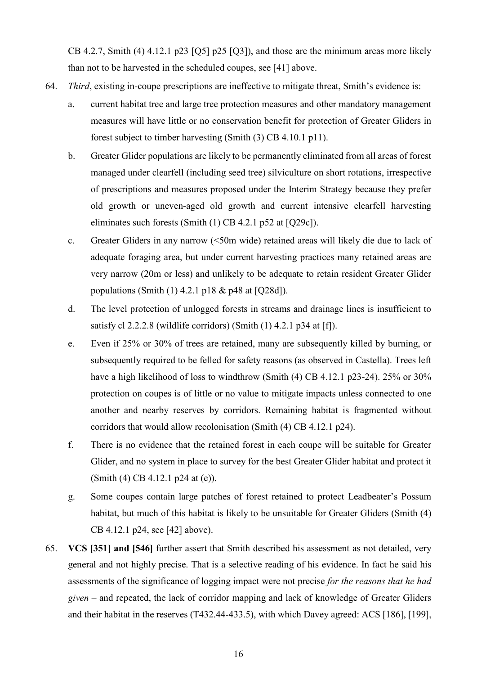CB 4.2.7, Smith (4) 4.12.1 p23 [Q5] p25 [Q3]), and those are the minimum areas more likely than not to be harvested in the scheduled coupes, see [\[41\]](#page-11-4) above.

- <span id="page-16-0"></span>64. *Third*, existing in-coupe prescriptions are ineffective to mitigate threat, Smith's evidence is:
	- a. current habitat tree and large tree protection measures and other mandatory management measures will have little or no conservation benefit for protection of Greater Gliders in forest subject to timber harvesting (Smith (3) CB 4.10.1 p11).
	- b. Greater Glider populations are likely to be permanently eliminated from all areas of forest managed under clearfell (including seed tree) silviculture on short rotations, irrespective of prescriptions and measures proposed under the Interim Strategy because they prefer old growth or uneven-aged old growth and current intensive clearfell harvesting eliminates such forests (Smith (1) CB 4.2.1 p52 at [Q29c]).
	- c. Greater Gliders in any narrow (<50m wide) retained areas will likely die due to lack of adequate foraging area, but under current harvesting practices many retained areas are very narrow (20m or less) and unlikely to be adequate to retain resident Greater Glider populations (Smith (1) 4.2.1 p18 & p48 at [Q28d]).
	- d. The level protection of unlogged forests in streams and drainage lines is insufficient to satisfy cl 2.2.2.8 (wildlife corridors) (Smith (1) 4.2.1 p34 at [f]).
	- e. Even if 25% or 30% of trees are retained, many are subsequently killed by burning, or subsequently required to be felled for safety reasons (as observed in Castella). Trees left have a high likelihood of loss to windthrow (Smith (4) CB 4.12.1 p23-24). 25% or 30% protection on coupes is of little or no value to mitigate impacts unless connected to one another and nearby reserves by corridors. Remaining habitat is fragmented without corridors that would allow recolonisation (Smith (4) CB 4.12.1 p24).
	- f. There is no evidence that the retained forest in each coupe will be suitable for Greater Glider, and no system in place to survey for the best Greater Glider habitat and protect it (Smith (4) CB 4.12.1 p24 at (e)).
	- g. Some coupes contain large patches of forest retained to protect Leadbeater's Possum habitat, but much of this habitat is likely to be unsuitable for Greater Gliders (Smith (4) CB 4.12.1 p24, see [\[42\]](#page-11-6) above).
- <span id="page-16-1"></span>65. **VCS [351] and [546]** further assert that Smith described his assessment as not detailed, very general and not highly precise. That is a selective reading of his evidence. In fact he said his assessments of the significance of logging impact were not precise *for the reasons that he had given –* and repeated, the lack of corridor mapping and lack of knowledge of Greater Gliders and their habitat in the reserves (T432.44-433.5), with which Davey agreed: ACS [186], [199],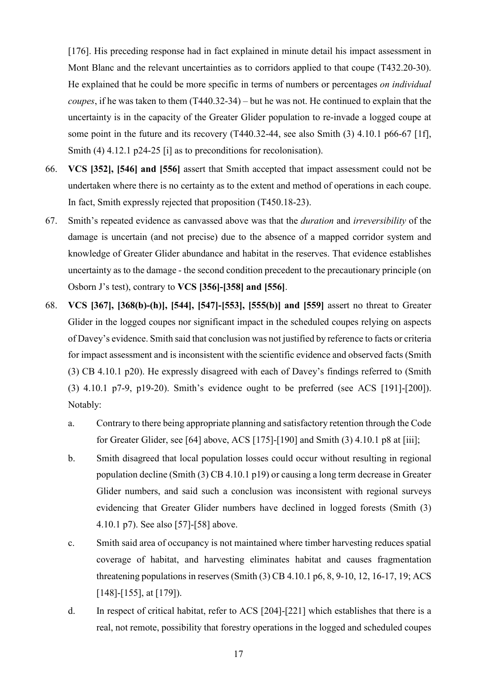[176]. His preceding response had in fact explained in minute detail his impact assessment in Mont Blanc and the relevant uncertainties as to corridors applied to that coupe (T432.20-30). He explained that he could be more specific in terms of numbers or percentages *on individual coupes*, if he was taken to them (T440.32-34) – but he was not. He continued to explain that the uncertainty is in the capacity of the Greater Glider population to re-invade a logged coupe at some point in the future and its recovery (T440.32-44, see also Smith (3) 4.10.1 p66-67 [1f], Smith (4) 4.12.1 p24-25 [i] as to preconditions for recolonisation).

- 66. **VCS [352], [546] and [556]** assert that Smith accepted that impact assessment could not be undertaken where there is no certainty as to the extent and method of operations in each coupe. In fact, Smith expressly rejected that proposition (T450.18-23).
- <span id="page-17-0"></span>67. Smith's repeated evidence as canvassed above was that the *duration* and *irreversibility* of the damage is uncertain (and not precise) due to the absence of a mapped corridor system and knowledge of Greater Glider abundance and habitat in the reserves. That evidence establishes uncertainty as to the damage - the second condition precedent to the precautionary principle (on Osborn J's test), contrary to **VCS [356]-[358] and [556]**.
- 68. **VCS [367], [368(b)-(h)], [544], [547]-[553], [555(b)] and [559]** assert no threat to Greater Glider in the logged coupes nor significant impact in the scheduled coupes relying on aspects of Davey's evidence. Smith said that conclusion was not justified by reference to facts or criteria for impact assessment and is inconsistent with the scientific evidence and observed facts (Smith (3) CB 4.10.1 p20). He expressly disagreed with each of Davey's findings referred to (Smith (3) 4.10.1 p7-9, p19-20). Smith's evidence ought to be preferred (see ACS [191]-[200]). Notably:
	- a. Contrary to there being appropriate planning and satisfactory retention through the Code for Greater Glider, see [\[64\]](#page-16-0) above, ACS [175]-[190] and Smith (3) 4.10.1 p8 at [iii];
	- b. Smith disagreed that local population losses could occur without resulting in regional population decline (Smith (3) CB 4.10.1 p19) or causing a long term decrease in Greater Glider numbers, and said such a conclusion was inconsistent with regional surveys evidencing that Greater Glider numbers have declined in logged forests (Smith (3) 4.10.1 p7). See also [\[57\]](#page-14-0)-[\[58\]](#page-14-2) above.
	- c. Smith said area of occupancy is not maintained where timber harvesting reduces spatial coverage of habitat, and harvesting eliminates habitat and causes fragmentation threatening populations in reserves (Smith (3) CB 4.10.1 p6, 8, 9-10, 12, 16-17, 19; ACS [148]-[155], at [179]).
	- d. In respect of critical habitat, refer to ACS [204]-[221] which establishes that there is a real, not remote, possibility that forestry operations in the logged and scheduled coupes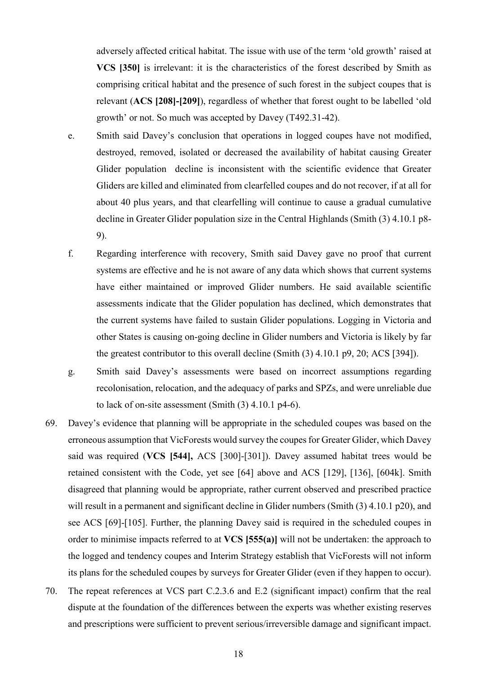adversely affected critical habitat. The issue with use of the term 'old growth' raised at **VCS [350]** is irrelevant: it is the characteristics of the forest described by Smith as comprising critical habitat and the presence of such forest in the subject coupes that is relevant (**ACS [208]-[209]**), regardless of whether that forest ought to be labelled 'old growth' or not. So much was accepted by Davey (T492.31-42).

- e. Smith said Davey's conclusion that operations in logged coupes have not modified, destroyed, removed, isolated or decreased the availability of habitat causing Greater Glider population decline is inconsistent with the scientific evidence that Greater Gliders are killed and eliminated from clearfelled coupes and do not recover, if at all for about 40 plus years, and that clearfelling will continue to cause a gradual cumulative decline in Greater Glider population size in the Central Highlands (Smith (3) 4.10.1 p8- 9).
- f. Regarding interference with recovery, Smith said Davey gave no proof that current systems are effective and he is not aware of any data which shows that current systems have either maintained or improved Glider numbers. He said available scientific assessments indicate that the Glider population has declined, which demonstrates that the current systems have failed to sustain Glider populations. Logging in Victoria and other States is causing on-going decline in Glider numbers and Victoria is likely by far the greatest contributor to this overall decline (Smith (3) 4.10.1 p9, 20; ACS [394]).
- g. Smith said Davey's assessments were based on incorrect assumptions regarding recolonisation, relocation, and the adequacy of parks and SPZs, and were unreliable due to lack of on-site assessment (Smith (3) 4.10.1 p4-6).
- 69. Davey's evidence that planning will be appropriate in the scheduled coupes was based on the erroneous assumption that VicForests would survey the coupes for Greater Glider, which Davey said was required (**VCS [544],** ACS [300]-[301]). Davey assumed habitat trees would be retained consistent with the Code, yet see [\[64\]](#page-16-0) above and ACS [129], [136], [604k]. Smith disagreed that planning would be appropriate, rather current observed and prescribed practice will result in a permanent and significant decline in Glider numbers (Smith (3) 4.10.1 p20), and see ACS [69]-[105]. Further, the planning Davey said is required in the scheduled coupes in order to minimise impacts referred to at **VCS [555(a)]** will not be undertaken: the approach to the logged and tendency coupes and Interim Strategy establish that VicForests will not inform its plans for the scheduled coupes by surveys for Greater Glider (even if they happen to occur).
- 70. The repeat references at VCS part C.2.3.6 and E.2 (significant impact) confirm that the real dispute at the foundation of the differences between the experts was whether existing reserves and prescriptions were sufficient to prevent serious/irreversible damage and significant impact.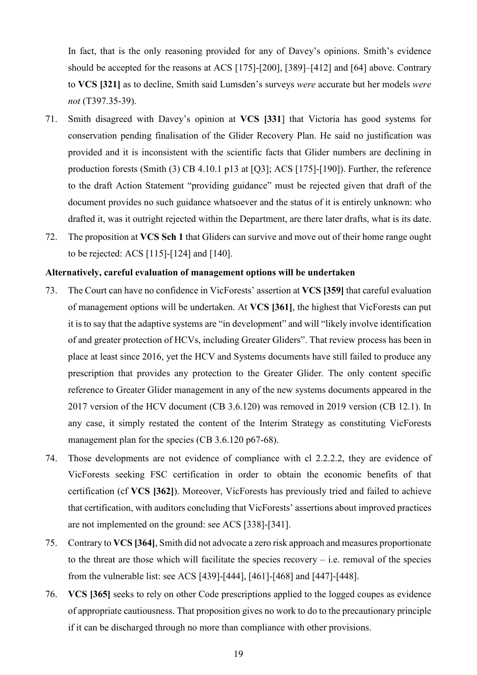In fact, that is the only reasoning provided for any of Davey's opinions. Smith's evidence should be accepted for the reasons at ACS [175]-[200], [389]–[412] and [\[64\]](#page-16-0) above. Contrary to **VCS [321]** as to decline, Smith said Lumsden's surveys *were* accurate but her models *were not* (T397.35-39).

- 71. Smith disagreed with Davey's opinion at **VCS [331**] that Victoria has good systems for conservation pending finalisation of the Glider Recovery Plan. He said no justification was provided and it is inconsistent with the scientific facts that Glider numbers are declining in production forests (Smith (3) CB 4.10.1 p13 at [Q3]; ACS [175]-[190]). Further, the reference to the draft Action Statement "providing guidance" must be rejected given that draft of the document provides no such guidance whatsoever and the status of it is entirely unknown: who drafted it, was it outright rejected within the Department, are there later drafts, what is its date.
- <span id="page-19-0"></span>72. The proposition at **VCS Sch 1** that Gliders can survive and move out of their home range ought to be rejected: ACS [115]-[124] and [140].

#### **Alternatively, careful evaluation of management options will be undertaken**

- 73. The Court can have no confidence in VicForests' assertion at **VCS [359]** that careful evaluation of management options will be undertaken. At **VCS [361]**, the highest that VicForests can put it is to say that the adaptive systems are "in development" and will "likely involve identification of and greater protection of HCVs, including Greater Gliders". That review process has been in place at least since 2016, yet the HCV and Systems documents have still failed to produce any prescription that provides any protection to the Greater Glider. The only content specific reference to Greater Glider management in any of the new systems documents appeared in the 2017 version of the HCV document (CB 3.6.120) was removed in 2019 version (CB 12.1). In any case, it simply restated the content of the Interim Strategy as constituting VicForests management plan for the species (CB 3.6.120 p67-68).
- 74. Those developments are not evidence of compliance with cl 2.2.2.2, they are evidence of VicForests seeking FSC certification in order to obtain the economic benefits of that certification (cf **VCS [362]**). Moreover, VicForests has previously tried and failed to achieve that certification, with auditors concluding that VicForests' assertions about improved practices are not implemented on the ground: see ACS [338]-[341].
- 75. Contrary to **VCS [364]**, Smith did not advocate a zero risk approach and measures proportionate to the threat are those which will facilitate the species recovery  $-$  i.e. removal of the species from the vulnerable list: see ACS [439]-[444], [461]-[468] and [447]-[448].
- 76. **VCS [365]** seeks to rely on other Code prescriptions applied to the logged coupes as evidence of appropriate cautiousness. That proposition gives no work to do to the precautionary principle if it can be discharged through no more than compliance with other provisions.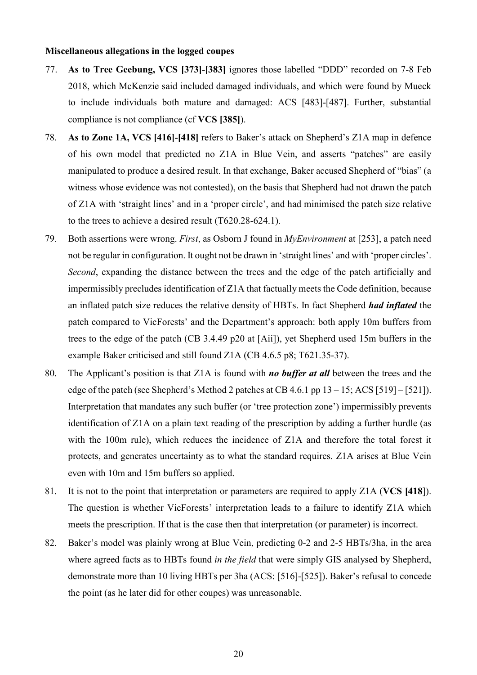#### **Miscellaneous allegations in the logged coupes**

- 77. **As to Tree Geebung, VCS [373]-[383]** ignores those labelled "DDD" recorded on 7-8 Feb 2018, which McKenzie said included damaged individuals, and which were found by Mueck to include individuals both mature and damaged: ACS [483]-[487]. Further, substantial compliance is not compliance (cf **VCS [385]**).
- 78. **As to Zone 1A, VCS [416]-[418]** refers to Baker's attack on Shepherd's Z1A map in defence of his own model that predicted no Z1A in Blue Vein, and asserts "patches" are easily manipulated to produce a desired result. In that exchange, Baker accused Shepherd of "bias" (a witness whose evidence was not contested), on the basis that Shepherd had not drawn the patch of Z1A with 'straight lines' and in a 'proper circle', and had minimised the patch size relative to the trees to achieve a desired result (T620.28-624.1).
- 79. Both assertions were wrong. *First*, as Osborn J found in *MyEnvironment* at [253], a patch need not be regular in configuration. It ought not be drawn in 'straight lines' and with 'proper circles'. *Second*, expanding the distance between the trees and the edge of the patch artificially and impermissibly precludes identification of Z1A that factually meets the Code definition, because an inflated patch size reduces the relative density of HBTs. In fact Shepherd *had inflated* the patch compared to VicForests' and the Department's approach: both apply 10m buffers from trees to the edge of the patch (CB 3.4.49 p20 at [Aii]), yet Shepherd used 15m buffers in the example Baker criticised and still found Z1A (CB 4.6.5 p8; T621.35-37).
- 80. The Applicant's position is that Z1A is found with *no buffer at all* between the trees and the edge of the patch (see Shepherd's Method 2 patches at CB 4.6.1 pp  $13 - 15$ ; ACS [519] – [521]). Interpretation that mandates any such buffer (or 'tree protection zone') impermissibly prevents identification of Z1A on a plain text reading of the prescription by adding a further hurdle (as with the 100m rule), which reduces the incidence of Z1A and therefore the total forest it protects, and generates uncertainty as to what the standard requires. Z1A arises at Blue Vein even with 10m and 15m buffers so applied.
- 81. It is not to the point that interpretation or parameters are required to apply Z1A (**VCS [418**]). The question is whether VicForests' interpretation leads to a failure to identify Z1A which meets the prescription. If that is the case then that interpretation (or parameter) is incorrect.
- 82. Baker's model was plainly wrong at Blue Vein, predicting 0-2 and 2-5 HBTs/3ha, in the area where agreed facts as to HBTs found *in the field* that were simply GIS analysed by Shepherd, demonstrate more than 10 living HBTs per 3ha (ACS: [516]-[525]). Baker's refusal to concede the point (as he later did for other coupes) was unreasonable.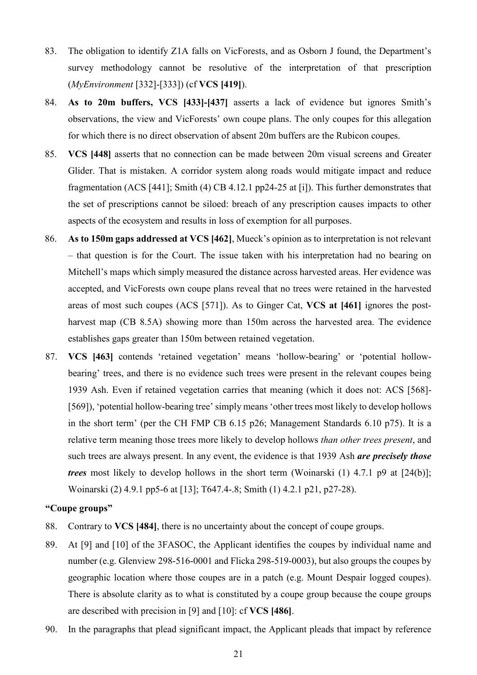- 83. The obligation to identify Z1A falls on VicForests, and as Osborn J found, the Department's survey methodology cannot be resolutive of the interpretation of that prescription (*MyEnvironment* [332]-[333]) (cf **VCS [419]**).
- 84. **As to 20m buffers, VCS [433]-[437]** asserts a lack of evidence but ignores Smith's observations, the view and VicForests' own coupe plans. The only coupes for this allegation for which there is no direct observation of absent 20m buffers are the Rubicon coupes.
- 85. **VCS [448]** asserts that no connection can be made between 20m visual screens and Greater Glider. That is mistaken. A corridor system along roads would mitigate impact and reduce fragmentation (ACS [441]; Smith (4) CB 4.12.1 pp24-25 at [i]). This further demonstrates that the set of prescriptions cannot be siloed: breach of any prescription causes impacts to other aspects of the ecosystem and results in loss of exemption for all purposes.
- 86. **As to 150m gaps addressed at VCS [462]**, Mueck's opinion as to interpretation is not relevant – that question is for the Court. The issue taken with his interpretation had no bearing on Mitchell's maps which simply measured the distance across harvested areas. Her evidence was accepted, and VicForests own coupe plans reveal that no trees were retained in the harvested areas of most such coupes (ACS [571]). As to Ginger Cat, **VCS at [461]** ignores the postharvest map (CB 8.5A) showing more than 150m across the harvested area. The evidence establishes gaps greater than 150m between retained vegetation.
- 87. **VCS [463]** contends 'retained vegetation' means 'hollow-bearing' or 'potential hollowbearing' trees, and there is no evidence such trees were present in the relevant coupes being 1939 Ash. Even if retained vegetation carries that meaning (which it does not: ACS [568]- [569]), 'potential hollow-bearing tree' simply means 'other trees most likely to develop hollows in the short term' (per the CH FMP CB 6.15 p26; Management Standards 6.10 p75). It is a relative term meaning those trees more likely to develop hollows *than other trees present*, and such trees are always present. In any event, the evidence is that 1939 Ash *are precisely those trees* most likely to develop hollows in the short term (Woinarski (1) 4.7.1 p9 at [24(b)]; Woinarski (2) 4.9.1 pp5-6 at [13]; T647.4-.8; Smith (1) 4.2.1 p21, p27-28).

## **"Coupe groups"**

- 88. Contrary to **VCS [484]**, there is no uncertainty about the concept of coupe groups.
- 89. At [9] and [10] of the 3FASOC, the Applicant identifies the coupes by individual name and number (e.g. Glenview 298-516-0001 and Flicka 298-519-0003), but also groups the coupes by geographic location where those coupes are in a patch (e.g. Mount Despair logged coupes). There is absolute clarity as to what is constituted by a coupe group because the coupe groups are described with precision in [9] and [10]: cf **VCS [486]**.
- 90. In the paragraphs that plead significant impact, the Applicant pleads that impact by reference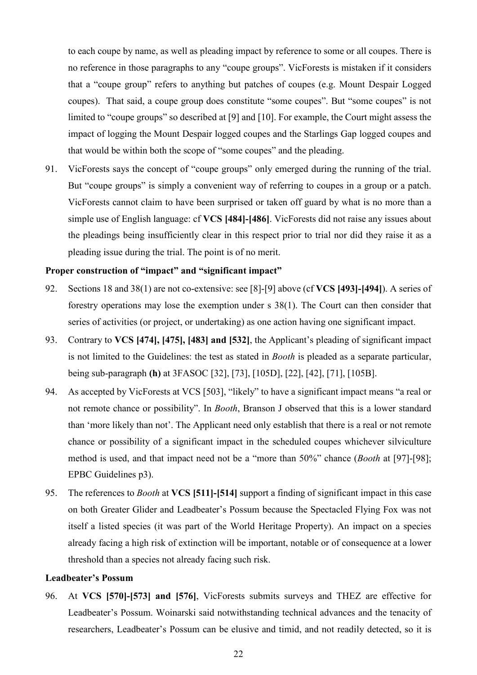to each coupe by name, as well as pleading impact by reference to some or all coupes. There is no reference in those paragraphs to any "coupe groups". VicForests is mistaken if it considers that a "coupe group" refers to anything but patches of coupes (e.g. Mount Despair Logged coupes). That said, a coupe group does constitute "some coupes". But "some coupes" is not limited to "coupe groups" so described at [9] and [10]. For example, the Court might assess the impact of logging the Mount Despair logged coupes and the Starlings Gap logged coupes and that would be within both the scope of "some coupes" and the pleading.

91. VicForests says the concept of "coupe groups" only emerged during the running of the trial. But "coupe groups" is simply a convenient way of referring to coupes in a group or a patch. VicForests cannot claim to have been surprised or taken off guard by what is no more than a simple use of English language: cf **VCS [484]-[486]**. VicForests did not raise any issues about the pleadings being insufficiently clear in this respect prior to trial nor did they raise it as a pleading issue during the trial. The point is of no merit.

## **Proper construction of "impact" and "significant impact"**

- 92. Sections 18 and 38(1) are not co-extensive: see [\[8\]](#page-3-1)-[\[9\]](#page-3-2) above (cf **VCS [493]-[494]**). A series of forestry operations may lose the exemption under s 38(1). The Court can then consider that series of activities (or project, or undertaking) as one action having one significant impact.
- 93. Contrary to **VCS [474], [475], [483] and [532]**, the Applicant's pleading of significant impact is not limited to the Guidelines: the test as stated in *Booth* is pleaded as a separate particular, being sub-paragraph **(h)** at 3FASOC [32], [73], [105D], [22], [42], [71], [105B].
- 94. As accepted by VicForests at VCS [503], "likely" to have a significant impact means "a real or not remote chance or possibility". In *Booth*, Branson J observed that this is a lower standard than 'more likely than not'. The Applicant need only establish that there is a real or not remote chance or possibility of a significant impact in the scheduled coupes whichever silviculture method is used, and that impact need not be a "more than 50%" chance (*Booth* at [97]-[98]; EPBC Guidelines p3).
- 95. The references to *Booth* at **VCS [511]-[514]** support a finding of significant impact in this case on both Greater Glider and Leadbeater's Possum because the Spectacled Flying Fox was not itself a listed species (it was part of the World Heritage Property). An impact on a species already facing a high risk of extinction will be important, notable or of consequence at a lower threshold than a species not already facing such risk.

#### **Leadbeater's Possum**

<span id="page-22-0"></span>96. At **VCS [570]-[573] and [576]**, VicForests submits surveys and THEZ are effective for Leadbeater's Possum. Woinarski said notwithstanding technical advances and the tenacity of researchers, Leadbeater's Possum can be elusive and timid, and not readily detected, so it is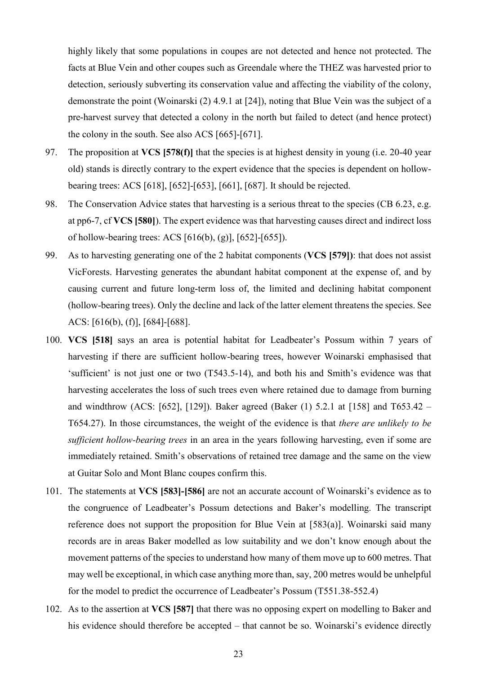highly likely that some populations in coupes are not detected and hence not protected. The facts at Blue Vein and other coupes such as Greendale where the THEZ was harvested prior to detection, seriously subverting its conservation value and affecting the viability of the colony, demonstrate the point (Woinarski (2) 4.9.1 at [24]), noting that Blue Vein was the subject of a pre-harvest survey that detected a colony in the north but failed to detect (and hence protect) the colony in the south. See also ACS [665]-[671].

- 97. The proposition at **VCS [578(f)]** that the species is at highest density in young (i.e. 20-40 year old) stands is directly contrary to the expert evidence that the species is dependent on hollowbearing trees: ACS [618], [652]-[653], [661], [687]. It should be rejected.
- 98. The Conservation Advice states that harvesting is a serious threat to the species (CB 6.23, e.g. at pp6-7, cf **VCS [580]**). The expert evidence was that harvesting causes direct and indirect loss of hollow-bearing trees: ACS [616(b), (g)], [652]-[655]).
- 99. As to harvesting generating one of the 2 habitat components (**VCS [579])**: that does not assist VicForests. Harvesting generates the abundant habitat component at the expense of, and by causing current and future long-term loss of, the limited and declining habitat component (hollow-bearing trees). Only the decline and lack of the latter element threatens the species. See ACS: [616(b), (f)], [684]-[688].
- 100. **VCS [518]** says an area is potential habitat for Leadbeater's Possum within 7 years of harvesting if there are sufficient hollow-bearing trees, however Woinarski emphasised that 'sufficient' is not just one or two (T543.5-14), and both his and Smith's evidence was that harvesting accelerates the loss of such trees even where retained due to damage from burning and windthrow (ACS: [652], [129]). Baker agreed (Baker (1) 5.2.1 at [158] and T653.42 – T654.27). In those circumstances, the weight of the evidence is that *there are unlikely to be sufficient hollow-bearing trees* in an area in the years following harvesting, even if some are immediately retained. Smith's observations of retained tree damage and the same on the view at Guitar Solo and Mont Blanc coupes confirm this.
- 101. The statements at **VCS [583]-[586]** are not an accurate account of Woinarski's evidence as to the congruence of Leadbeater's Possum detections and Baker's modelling. The transcript reference does not support the proposition for Blue Vein at  $[583(a)]$ . Woinarski said many records are in areas Baker modelled as low suitability and we don't know enough about the movement patterns of the species to understand how many of them move up to 600 metres. That may well be exceptional, in which case anything more than, say, 200 metres would be unhelpful for the model to predict the occurrence of Leadbeater's Possum (T551.38-552.4)
- 102. As to the assertion at **VCS [587]** that there was no opposing expert on modelling to Baker and his evidence should therefore be accepted – that cannot be so. Woinarski's evidence directly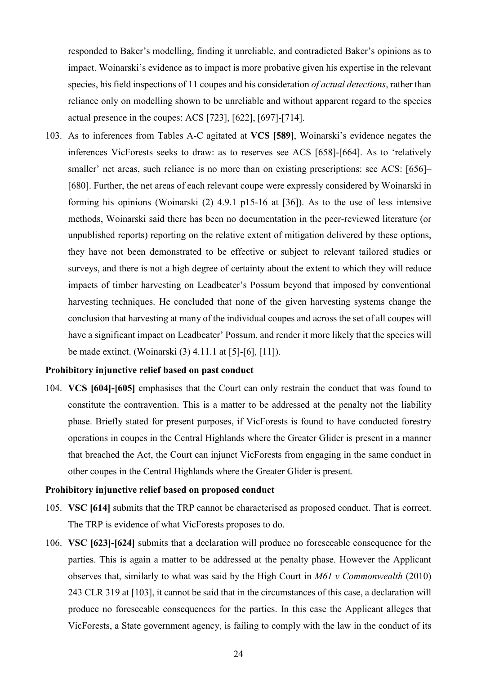responded to Baker's modelling, finding it unreliable, and contradicted Baker's opinions as to impact. Woinarski's evidence as to impact is more probative given his expertise in the relevant species, his field inspections of 11 coupes and his consideration *of actual detections*, rather than reliance only on modelling shown to be unreliable and without apparent regard to the species actual presence in the coupes: ACS [723], [622], [697]-[714].

<span id="page-24-0"></span>103. As to inferences from Tables A-C agitated at **VCS [589]**, Woinarski's evidence negates the inferences VicForests seeks to draw: as to reserves see ACS [658]-[664]. As to 'relatively smaller' net areas, such reliance is no more than on existing prescriptions: see ACS: [656]– [680]. Further, the net areas of each relevant coupe were expressly considered by Woinarski in forming his opinions (Woinarski (2) 4.9.1 p15-16 at [36]). As to the use of less intensive methods, Woinarski said there has been no documentation in the peer-reviewed literature (or unpublished reports) reporting on the relative extent of mitigation delivered by these options, they have not been demonstrated to be effective or subject to relevant tailored studies or surveys, and there is not a high degree of certainty about the extent to which they will reduce impacts of timber harvesting on Leadbeater's Possum beyond that imposed by conventional harvesting techniques. He concluded that none of the given harvesting systems change the conclusion that harvesting at many of the individual coupes and across the set of all coupes will have a significant impact on Leadbeater' Possum, and render it more likely that the species will be made extinct. (Woinarski (3) 4.11.1 at [5]-[6], [11]).

### **Prohibitory injunctive relief based on past conduct**

104. **VCS [604]-[605]** emphasises that the Court can only restrain the conduct that was found to constitute the contravention. This is a matter to be addressed at the penalty not the liability phase. Briefly stated for present purposes, if VicForests is found to have conducted forestry operations in coupes in the Central Highlands where the Greater Glider is present in a manner that breached the Act, the Court can injunct VicForests from engaging in the same conduct in other coupes in the Central Highlands where the Greater Glider is present.

#### **Prohibitory injunctive relief based on proposed conduct**

- 105. **VSC [614]** submits that the TRP cannot be characterised as proposed conduct. That is correct. The TRP is evidence of what VicForests proposes to do.
- 106. **VSC [623]-[624]** submits that a declaration will produce no foreseeable consequence for the parties. This is again a matter to be addressed at the penalty phase. However the Applicant observes that, similarly to what was said by the High Court in *M61 v Commonwealth* (2010) 243 CLR 319 at [103], it cannot be said that in the circumstances of this case, a declaration will produce no foreseeable consequences for the parties. In this case the Applicant alleges that VicForests, a State government agency, is failing to comply with the law in the conduct of its